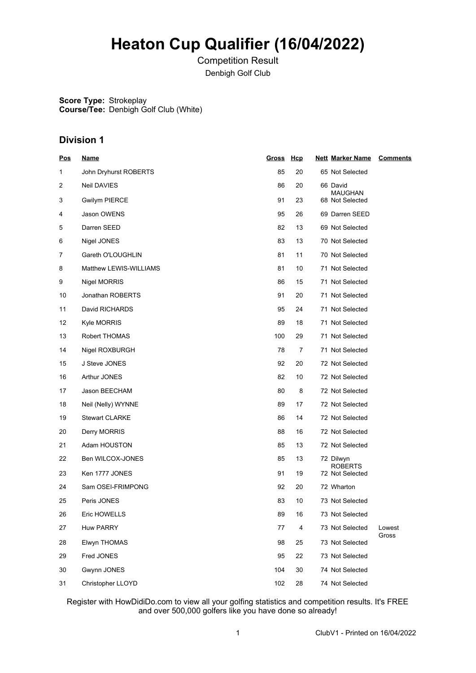# **Heaton Cup Qualifier (16/04/2022)**

Competition Result Denbigh Golf Club

**Score Type:** Strokeplay **Course/Tee:** Denbigh Golf Club (White)

# **Division 1**

| <b>Pos</b> | <u>Name</u>            | Gross Hcp |    | <b>Nett Marker Name</b>           | <b>Comments</b> |
|------------|------------------------|-----------|----|-----------------------------------|-----------------|
| 1          | John Dryhurst ROBERTS  | 85        | 20 | 65 Not Selected                   |                 |
| 2          | Neil DAVIES            | 86        | 20 | 66 David                          |                 |
| 3          | <b>Gwilym PIERCE</b>   | 91        | 23 | <b>MAUGHAN</b><br>68 Not Selected |                 |
| 4          | Jason OWENS            | 95        | 26 | 69 Darren SEED                    |                 |
| 5          | Darren SEED            | 82        | 13 | 69 Not Selected                   |                 |
| 6          | Nigel JONES            | 83        | 13 | 70 Not Selected                   |                 |
| 7          | Gareth O'LOUGHLIN      | 81        | 11 | 70 Not Selected                   |                 |
| 8          | Matthew LEWIS-WILLIAMS | 81        | 10 | 71 Not Selected                   |                 |
| 9          | Nigel MORRIS           | 86        | 15 | 71 Not Selected                   |                 |
| 10         | Jonathan ROBERTS       | 91        | 20 | 71 Not Selected                   |                 |
| 11         | David RICHARDS         | 95        | 24 | 71 Not Selected                   |                 |
| 12         | <b>Kyle MORRIS</b>     | 89        | 18 | 71 Not Selected                   |                 |
| 13         | Robert THOMAS          | 100       | 29 | 71 Not Selected                   |                 |
| 14         | Nigel ROXBURGH         | 78        | 7  | 71 Not Selected                   |                 |
| 15         | J Steve JONES          | 92        | 20 | 72 Not Selected                   |                 |
| 16         | Arthur JONES           | 82        | 10 | 72 Not Selected                   |                 |
| 17         | Jason BEECHAM          | 80        | 8  | 72 Not Selected                   |                 |
| 18         | Neil (Nelly) WYNNE     | 89        | 17 | 72 Not Selected                   |                 |
| 19         | <b>Stewart CLARKE</b>  | 86        | 14 | 72 Not Selected                   |                 |
| 20         | Derry MORRIS           | 88        | 16 | 72 Not Selected                   |                 |
| 21         | Adam HOUSTON           | 85        | 13 | 72 Not Selected                   |                 |
| 22         | Ben WILCOX-JONES       | 85        | 13 | 72 Dilwyn<br><b>ROBERTS</b>       |                 |
| 23         | Ken 1777 JONES         | 91        | 19 | 72 Not Selected                   |                 |
| 24         | Sam OSEI-FRIMPONG      | 92        | 20 | 72 Wharton                        |                 |
| 25         | Peris JONES            | 83        | 10 | 73 Not Selected                   |                 |
| 26         | Eric HOWELLS           | 89        | 16 | 73 Not Selected                   |                 |
| 27         | <b>Huw PARRY</b>       | 77        | 4  | 73 Not Selected                   | Lowest          |
| 28         | Elwyn THOMAS           | 98        | 25 | 73 Not Selected                   | Gross           |
| 29         | Fred JONES             | 95        | 22 | 73 Not Selected                   |                 |
| 30         | Gwynn JONES            | 104       | 30 | 74 Not Selected                   |                 |
| 31         | Christopher LLOYD      | 102       | 28 | 74 Not Selected                   |                 |

Register with HowDidiDo.com to view all your golfing statistics and competition results. It's FREE and over 500,000 golfers like you have done so already!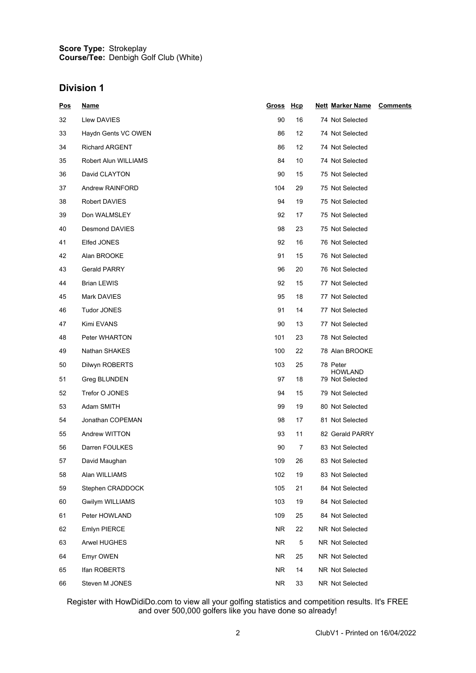#### **Score Type: Course/Tee:** Strokeplay Denbigh Golf Club (White)

# **Division 1**

| <u>Pos</u> | <u>Name</u>           | Gross Hcp |    | <b>Nett Marker Name</b><br><b>Comments</b> |  |
|------------|-----------------------|-----------|----|--------------------------------------------|--|
| 32         | Llew DAVIES           | 90        | 16 | 74 Not Selected                            |  |
| 33         | Haydn Gents VC OWEN   | 86        | 12 | 74 Not Selected                            |  |
| 34         | <b>Richard ARGENT</b> | 86        | 12 | 74 Not Selected                            |  |
| 35         | Robert Alun WILLIAMS  | 84        | 10 | 74 Not Selected                            |  |
| 36         | David CLAYTON         | 90        | 15 | 75 Not Selected                            |  |
| 37         | Andrew RAINFORD       | 104       | 29 | 75 Not Selected                            |  |
| 38         | Robert DAVIES         | 94        | 19 | 75 Not Selected                            |  |
| 39         | Don WALMSLEY          | 92        | 17 | 75 Not Selected                            |  |
| 40         | Desmond DAVIES        | 98        | 23 | 75 Not Selected                            |  |
| 41         | Elfed JONES           | 92        | 16 | 76 Not Selected                            |  |
| 42         | Alan BROOKE           | 91        | 15 | 76 Not Selected                            |  |
| 43         | <b>Gerald PARRY</b>   | 96        | 20 | 76 Not Selected                            |  |
| 44         | <b>Brian LEWIS</b>    | 92        | 15 | 77 Not Selected                            |  |
| 45         | Mark DAVIES           | 95        | 18 | 77 Not Selected                            |  |
| 46         | Tudor JONES           | 91        | 14 | 77 Not Selected                            |  |
| 47         | Kimi EVANS            | 90        | 13 | 77 Not Selected                            |  |
| 48         | Peter WHARTON         | 101       | 23 | 78 Not Selected                            |  |
| 49         | Nathan SHAKES         | 100       | 22 | 78 Alan BROOKE                             |  |
| 50         | Dilwyn ROBERTS        | 103       | 25 | 78 Peter                                   |  |
| 51         | Greg BLUNDEN          | 97        | 18 | <b>HOWLAND</b><br>79 Not Selected          |  |
| 52         | Trefor O JONES        | 94        | 15 | 79 Not Selected                            |  |
| 53         | Adam SMITH            | 99        | 19 | 80 Not Selected                            |  |
| 54         | Jonathan COPEMAN      | 98        | 17 | 81 Not Selected                            |  |
| 55         | Andrew WITTON         | 93        | 11 | 82 Gerald PARRY                            |  |
| 56         | Darren FOULKES        | 90        | 7  | 83 Not Selected                            |  |
| 57         | David Maughan         | 109       | 26 | 83 Not Selected                            |  |
| 58         | Alan WILLIAMS         | 102       | 19 | 83 Not Selected                            |  |
| 59         | Stephen CRADDOCK      | 105       | 21 | 84 Not Selected                            |  |
| 60         | Gwilym WILLIAMS       | 103       | 19 | 84 Not Selected                            |  |
| 61         | Peter HOWLAND         | 109       | 25 | 84 Not Selected                            |  |
| 62         | Emlyn PIERCE          | NR.       | 22 | NR Not Selected                            |  |
| 63         | Arwel HUGHES          | NR.       | 5  | NR Not Selected                            |  |
| 64         | Emyr OWEN             | NR.       | 25 | NR Not Selected                            |  |
| 65         | Ifan ROBERTS          | NR.       | 14 | NR Not Selected                            |  |
| 66         | Steven M JONES        | NR.       | 33 | NR Not Selected                            |  |

Register with HowDidiDo.com to view all your golfing statistics and competition results. It's FREE and over 500,000 golfers like you have done so already!